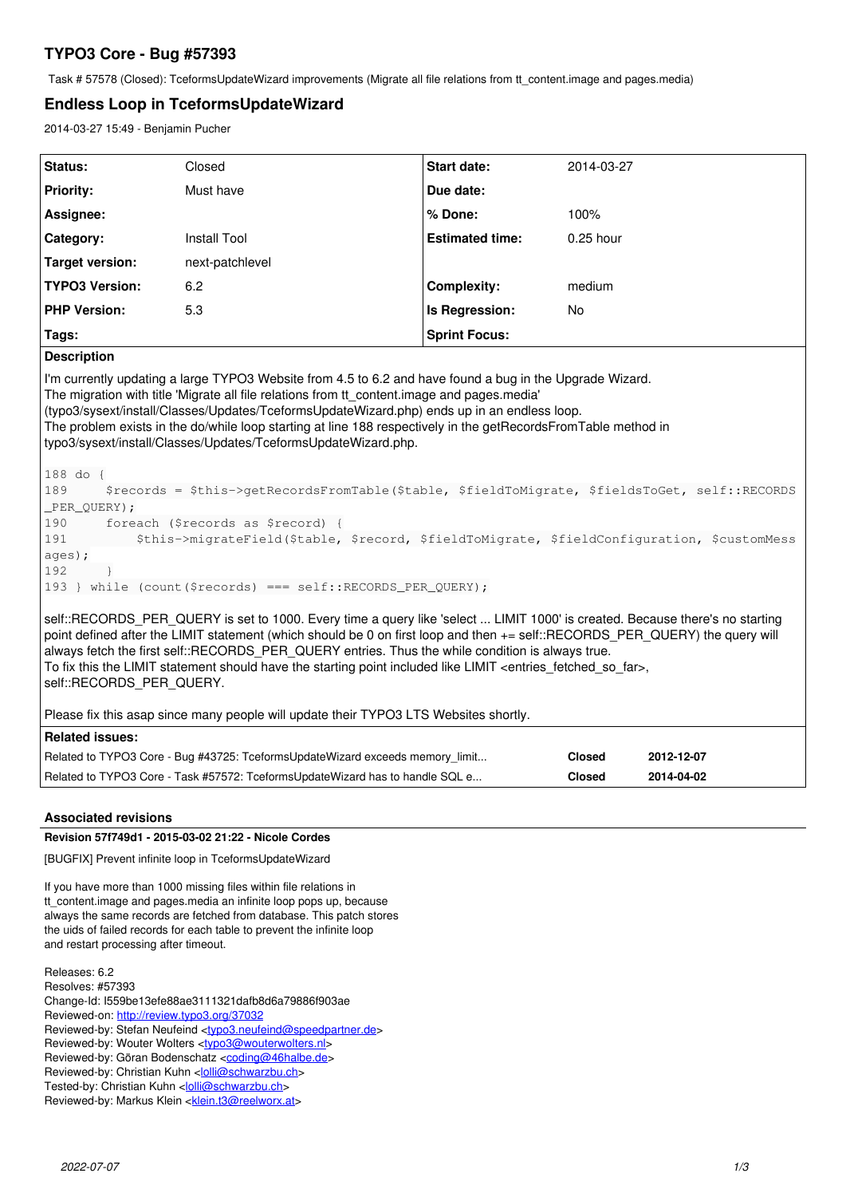# **TYPO3 Core - Bug #57393**

Task # 57578 (Closed): TceformsUpdateWizard improvements (Migrate all file relations from tt\_content.image and pages.media)

## **Endless Loop in TceformsUpdateWizard**

2014-03-27 15:49 - Benjamin Pucher

| Status:                                                                                                                                                                                                                                                                                                                                                                                                                                                                                                                                                                                                                                                                                                                                                                                                                                                             | Closed                                                                        | <b>Start date:</b>     | 2014-03-27    |            |
|---------------------------------------------------------------------------------------------------------------------------------------------------------------------------------------------------------------------------------------------------------------------------------------------------------------------------------------------------------------------------------------------------------------------------------------------------------------------------------------------------------------------------------------------------------------------------------------------------------------------------------------------------------------------------------------------------------------------------------------------------------------------------------------------------------------------------------------------------------------------|-------------------------------------------------------------------------------|------------------------|---------------|------------|
| <b>Priority:</b>                                                                                                                                                                                                                                                                                                                                                                                                                                                                                                                                                                                                                                                                                                                                                                                                                                                    | Must have                                                                     | Due date:              |               |            |
| Assignee:                                                                                                                                                                                                                                                                                                                                                                                                                                                                                                                                                                                                                                                                                                                                                                                                                                                           |                                                                               | % Done:                | 100%          |            |
| Category:                                                                                                                                                                                                                                                                                                                                                                                                                                                                                                                                                                                                                                                                                                                                                                                                                                                           | <b>Install Tool</b>                                                           | <b>Estimated time:</b> | 0.25 hour     |            |
| <b>Target version:</b>                                                                                                                                                                                                                                                                                                                                                                                                                                                                                                                                                                                                                                                                                                                                                                                                                                              | next-patchlevel                                                               |                        |               |            |
| <b>TYPO3 Version:</b>                                                                                                                                                                                                                                                                                                                                                                                                                                                                                                                                                                                                                                                                                                                                                                                                                                               | 6.2                                                                           | <b>Complexity:</b>     | medium        |            |
| <b>PHP Version:</b>                                                                                                                                                                                                                                                                                                                                                                                                                                                                                                                                                                                                                                                                                                                                                                                                                                                 | 5.3                                                                           | Is Regression:         | <b>No</b>     |            |
| Tags:                                                                                                                                                                                                                                                                                                                                                                                                                                                                                                                                                                                                                                                                                                                                                                                                                                                               |                                                                               | <b>Sprint Focus:</b>   |               |            |
| <b>Description</b>                                                                                                                                                                                                                                                                                                                                                                                                                                                                                                                                                                                                                                                                                                                                                                                                                                                  |                                                                               |                        |               |            |
| I'm currently updating a large TYPO3 Website from 4.5 to 6.2 and have found a bug in the Upgrade Wizard.<br>The migration with title 'Migrate all file relations from tt content.image and pages.media'<br>(typo3/sysext/install/Classes/Updates/TceformsUpdateWizard.php) ends up in an endless loop.<br>The problem exists in the do/while loop starting at line 188 respectively in the getRecordsFromTable method in<br>typo3/sysext/install/Classes/Updates/TceformsUpdateWizard.php.<br>188 do {<br>189<br>\$records = \$this->qetRecordsFromTable(\$table, \$fieldToMigrate, \$fieldsToGet, self::RECORDS<br>PER_QUERY);<br>foreach (\$records as \$record) {<br>190<br>\$this->migrateField(\$table, \$record, \$fieldToMigrate, \$fieldConfiguration, \$customMess<br>191<br>ages);<br>192<br>193 } while (count (\$records) === self::RECORDS_PER_QUERY); |                                                                               |                        |               |            |
| self::RECORDS PER QUERY is set to 1000. Every time a query like 'select  LIMIT 1000' is created. Because there's no starting<br>point defined after the LIMIT statement (which should be 0 on first loop and then += self::RECORDS PER QUERY) the query will<br>always fetch the first self::RECORDS PER QUERY entries. Thus the while condition is always true.<br>To fix this the LIMIT statement should have the starting point included like LIMIT <entries far="" fetched="" so="">,<br/>self::RECORDS PER QUERY.<br/>Please fix this asap since many people will update their TYPO3 LTS Websites shortly.</entries>                                                                                                                                                                                                                                           |                                                                               |                        |               |            |
| <b>Related issues:</b>                                                                                                                                                                                                                                                                                                                                                                                                                                                                                                                                                                                                                                                                                                                                                                                                                                              |                                                                               |                        |               |            |
|                                                                                                                                                                                                                                                                                                                                                                                                                                                                                                                                                                                                                                                                                                                                                                                                                                                                     | Related to TYPO3 Core - Bug #43725: TceformsUpdateWizard exceeds memory_limit |                        | <b>Closed</b> | 2012-12-07 |
|                                                                                                                                                                                                                                                                                                                                                                                                                                                                                                                                                                                                                                                                                                                                                                                                                                                                     | Related to TYPO3 Core - Task #57572: TceformsUpdateWizard has to handle SQL e |                        | <b>Closed</b> | 2014-04-02 |

## **Associated revisions**

## **Revision 57f749d1 - 2015-03-02 21:22 - Nicole Cordes**

[BUGFIX] Prevent infinite loop in TceformsUpdateWizard

If you have more than 1000 missing files within file relations in tt\_content.image and pages.media an infinite loop pops up, because always the same records are fetched from database. This patch stores the uids of failed records for each table to prevent the infinite loop and restart processing after timeout.

Releases: 6.2 Resolves: #57393 Change-Id: I559be13efe88ae3111321dafb8d6a79886f903ae Reviewed-on:<http://review.typo3.org/37032> Reviewed-by: Stefan Neufeind [<typo3.neufeind@speedpartner.de>](mailto:typo3.neufeind@speedpartner.de) Reviewed-by: Wouter Wolters <[typo3@wouterwolters.nl](mailto:typo3@wouterwolters.nl)> Reviewed-by: Göran Bodenschatz [<coding@46halbe.de>](mailto:coding@46halbe.de) Reviewed-by: Christian Kuhn [<lolli@schwarzbu.ch>](mailto:lolli@schwarzbu.ch) Tested-by: Christian Kuhn <[lolli@schwarzbu.ch](mailto:lolli@schwarzbu.ch)> Reviewed-by: Markus Klein <[klein.t3@reelworx.at>](mailto:klein.t3@reelworx.at)

*2022-07-07 1/3*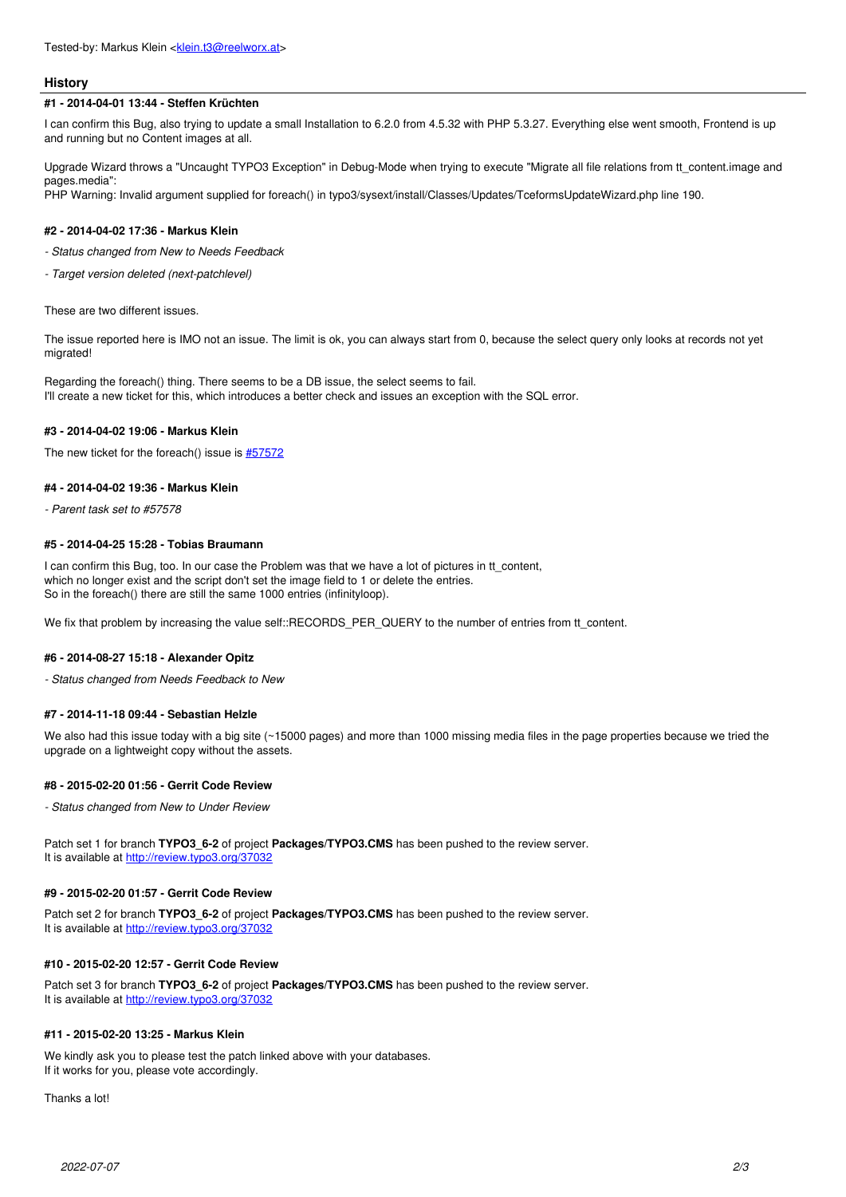#### **History**

#### **#1 - 2014-04-01 13:44 - Steffen Krüchten**

I can confirm this Bug, also trying to update a small Installation to 6.2.0 from 4.5.32 with PHP 5.3.27. Everything else went smooth, Frontend is up and running but no Content images at all.

Upgrade Wizard throws a "Uncaught TYPO3 Exception" in Debug-Mode when trying to execute "Migrate all file relations from tt\_content.image and pages.media":

PHP Warning: Invalid argument supplied for foreach() in typo3/sysext/install/Classes/Updates/TceformsUpdateWizard.php line 190.

#### **#2 - 2014-04-02 17:36 - Markus Klein**

*- Status changed from New to Needs Feedback*

*- Target version deleted (next-patchlevel)*

These are two different issues.

The issue reported here is IMO not an issue. The limit is ok, you can always start from 0, because the select query only looks at records not yet migrated!

Regarding the foreach() thing. There seems to be a DB issue, the select seems to fail. I'll create a new ticket for this, which introduces a better check and issues an exception with the SQL error.

#### **#3 - 2014-04-02 19:06 - Markus Klein**

The new ticket for the foreach() issue is [#57572](https://forge.typo3.org/issues/57572)

#### **#4 - 2014-04-02 19:36 - Markus Klein**

*- Parent task set to #57578*

#### **#5 - 2014-04-25 15:28 - Tobias Braumann**

I can confirm this Bug, too. In our case the Problem was that we have a lot of pictures in tt\_content, which no longer exist and the script don't set the image field to 1 or delete the entries. So in the foreach() there are still the same 1000 entries (infinityloop).

We fix that problem by increasing the value self::RECORDS\_PER\_QUERY to the number of entries from tt\_content.

#### **#6 - 2014-08-27 15:18 - Alexander Opitz**

*- Status changed from Needs Feedback to New*

#### **#7 - 2014-11-18 09:44 - Sebastian Helzle**

We also had this issue today with a big site (~15000 pages) and more than 1000 missing media files in the page properties because we tried the upgrade on a lightweight copy without the assets.

#### **#8 - 2015-02-20 01:56 - Gerrit Code Review**

*- Status changed from New to Under Review*

Patch set 1 for branch **TYPO3\_6-2** of project **Packages/TYPO3.CMS** has been pushed to the review server. It is available at <http://review.typo3.org/37032>

#### **#9 - 2015-02-20 01:57 - Gerrit Code Review**

Patch set 2 for branch **TYPO3\_6-2** of project **Packages/TYPO3.CMS** has been pushed to the review server. It is available at <http://review.typo3.org/37032>

#### **#10 - 2015-02-20 12:57 - Gerrit Code Review**

Patch set 3 for branch **TYPO3\_6-2** of project **Packages/TYPO3.CMS** has been pushed to the review server. It is available at <http://review.typo3.org/37032>

## **#11 - 2015-02-20 13:25 - Markus Klein**

We kindly ask you to please test the patch linked above with your databases. If it works for you, please vote accordingly.

Thanks a lot!